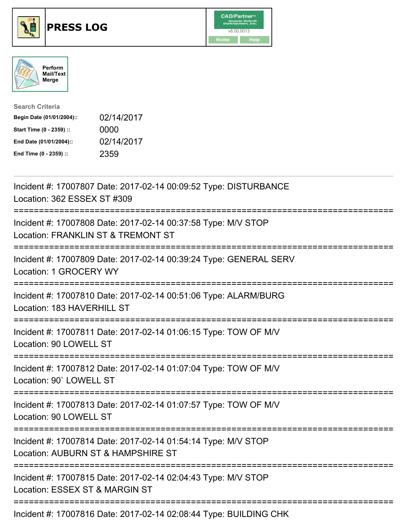





| <b>Search Criteria</b>    |            |
|---------------------------|------------|
| Begin Date (01/01/2004):: | 02/14/2017 |
| Start Time (0 - 2359) ::  | 0000       |
| End Date (01/01/2004)::   | 02/14/2017 |
| End Time (0 - 2359) ::    | 2359       |

| Incident #: 17007807 Date: 2017-02-14 00:09:52 Type: DISTURBANCE<br>Location: 362 ESSEX ST #309                                   |
|-----------------------------------------------------------------------------------------------------------------------------------|
| Incident #: 17007808 Date: 2017-02-14 00:37:58 Type: M/V STOP<br>Location: FRANKLIN ST & TREMONT ST                               |
| Incident #: 17007809 Date: 2017-02-14 00:39:24 Type: GENERAL SERV<br>Location: 1 GROCERY WY<br>===============                    |
| Incident #: 17007810 Date: 2017-02-14 00:51:06 Type: ALARM/BURG<br>Location: 183 HAVERHILL ST<br>===============                  |
| Incident #: 17007811 Date: 2017-02-14 01:06:15 Type: TOW OF M/V<br>Location: 90 LOWELL ST                                         |
| Incident #: 17007812 Date: 2017-02-14 01:07:04 Type: TOW OF M/V<br>Location: 90' LOWELL ST                                        |
| Incident #: 17007813 Date: 2017-02-14 01:07:57 Type: TOW OF M/V<br>Location: 90 LOWELL ST<br>==================================== |
| Incident #: 17007814 Date: 2017-02-14 01:54:14 Type: M/V STOP<br>Location: AUBURN ST & HAMPSHIRE ST                               |
| Incident #: 17007815 Date: 2017-02-14 02:04:43 Type: M/V STOP<br>Location: ESSEX ST & MARGIN ST                                   |
| -------------------------<br>Incident #: 17007816 Date: 2017-02-14 02:08:44 Type: BUILDING CHK                                    |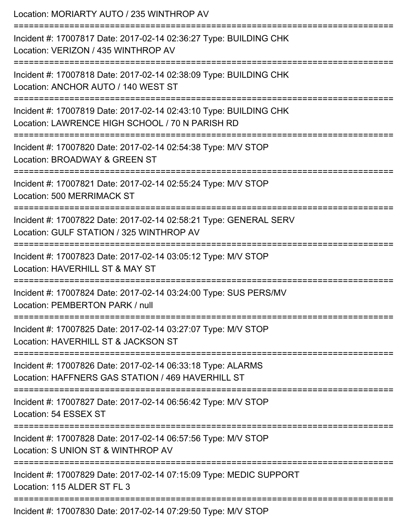| Location: MORIARTY AUTO / 235 WINTHROP AV                                                                            |
|----------------------------------------------------------------------------------------------------------------------|
| Incident #: 17007817 Date: 2017-02-14 02:36:27 Type: BUILDING CHK<br>Location: VERIZON / 435 WINTHROP AV             |
| Incident #: 17007818 Date: 2017-02-14 02:38:09 Type: BUILDING CHK<br>Location: ANCHOR AUTO / 140 WEST ST             |
| Incident #: 17007819 Date: 2017-02-14 02:43:10 Type: BUILDING CHK<br>Location: LAWRENCE HIGH SCHOOL / 70 N PARISH RD |
| Incident #: 17007820 Date: 2017-02-14 02:54:38 Type: M/V STOP<br>Location: BROADWAY & GREEN ST                       |
| Incident #: 17007821 Date: 2017-02-14 02:55:24 Type: M/V STOP<br><b>Location: 500 MERRIMACK ST</b>                   |
| Incident #: 17007822 Date: 2017-02-14 02:58:21 Type: GENERAL SERV<br>Location: GULF STATION / 325 WINTHROP AV        |
| Incident #: 17007823 Date: 2017-02-14 03:05:12 Type: M/V STOP<br>Location: HAVERHILL ST & MAY ST                     |
| Incident #: 17007824 Date: 2017-02-14 03:24:00 Type: SUS PERS/MV<br>Location: PEMBERTON PARK / null                  |
| Incident #: 17007825 Date: 2017-02-14 03:27:07 Type: M/V STOP<br>Location: HAVERHILL ST & JACKSON ST                 |
| Incident #: 17007826 Date: 2017-02-14 06:33:18 Type: ALARMS<br>Location: HAFFNERS GAS STATION / 469 HAVERHILL ST     |
| Incident #: 17007827 Date: 2017-02-14 06:56:42 Type: M/V STOP<br>Location: 54 ESSEX ST                               |
| Incident #: 17007828 Date: 2017-02-14 06:57:56 Type: M/V STOP<br>Location: S UNION ST & WINTHROP AV                  |
| Incident #: 17007829 Date: 2017-02-14 07:15:09 Type: MEDIC SUPPORT<br>Location: 115 ALDER ST FL 3                    |
| Incident #: 17007830 Date: 2017-02-14 07:29:50 Type: M/V STOP                                                        |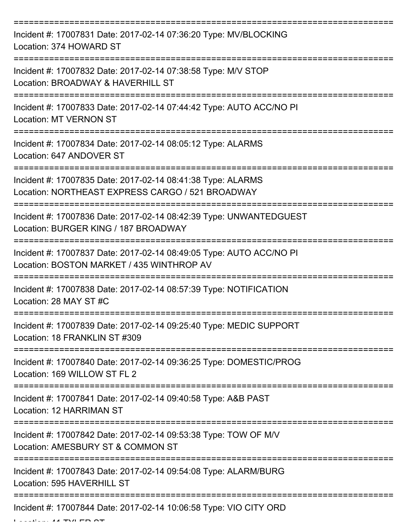| Incident #: 17007831 Date: 2017-02-14 07:36:20 Type: MV/BLOCKING<br>Location: 374 HOWARD ST                      |
|------------------------------------------------------------------------------------------------------------------|
| Incident #: 17007832 Date: 2017-02-14 07:38:58 Type: M/V STOP<br>Location: BROADWAY & HAVERHILL ST               |
| Incident #: 17007833 Date: 2017-02-14 07:44:42 Type: AUTO ACC/NO PI<br><b>Location: MT VERNON ST</b>             |
| Incident #: 17007834 Date: 2017-02-14 08:05:12 Type: ALARMS<br>Location: 647 ANDOVER ST                          |
| Incident #: 17007835 Date: 2017-02-14 08:41:38 Type: ALARMS<br>Location: NORTHEAST EXPRESS CARGO / 521 BROADWAY  |
| Incident #: 17007836 Date: 2017-02-14 08:42:39 Type: UNWANTEDGUEST<br>Location: BURGER KING / 187 BROADWAY       |
| Incident #: 17007837 Date: 2017-02-14 08:49:05 Type: AUTO ACC/NO PI<br>Location: BOSTON MARKET / 435 WINTHROP AV |
| Incident #: 17007838 Date: 2017-02-14 08:57:39 Type: NOTIFICATION<br>Location: 28 MAY ST #C                      |
| Incident #: 17007839 Date: 2017-02-14 09:25:40 Type: MEDIC SUPPORT<br>Location: 18 FRANKLIN ST #309              |
| Incident #: 17007840 Date: 2017-02-14 09:36:25 Type: DOMESTIC/PROG<br>Location: 169 WILLOW ST FL 2               |
| Incident #: 17007841 Date: 2017-02-14 09:40:58 Type: A&B PAST<br>Location: 12 HARRIMAN ST                        |
| Incident #: 17007842 Date: 2017-02-14 09:53:38 Type: TOW OF M/V<br>Location: AMESBURY ST & COMMON ST             |
| Incident #: 17007843 Date: 2017-02-14 09:54:08 Type: ALARM/BURG<br>Location: 595 HAVERHILL ST                    |
| Incident #: 17007844 Date: 2017-02-14 10:06:58 Type: VIO CITY ORD                                                |

 $L = L$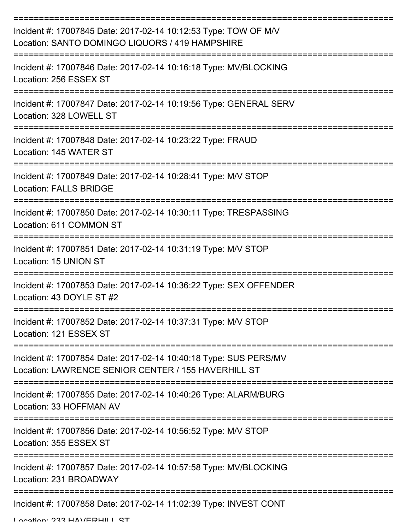| Incident #: 17007845 Date: 2017-02-14 10:12:53 Type: TOW OF M/V<br>Location: SANTO DOMINGO LIQUORS / 419 HAMPSHIRE      |
|-------------------------------------------------------------------------------------------------------------------------|
| Incident #: 17007846 Date: 2017-02-14 10:16:18 Type: MV/BLOCKING<br>Location: 256 ESSEX ST                              |
| Incident #: 17007847 Date: 2017-02-14 10:19:56 Type: GENERAL SERV<br>Location: 328 LOWELL ST                            |
| Incident #: 17007848 Date: 2017-02-14 10:23:22 Type: FRAUD<br>Location: 145 WATER ST                                    |
| Incident #: 17007849 Date: 2017-02-14 10:28:41 Type: M/V STOP<br><b>Location: FALLS BRIDGE</b>                          |
| Incident #: 17007850 Date: 2017-02-14 10:30:11 Type: TRESPASSING<br>Location: 611 COMMON ST                             |
| Incident #: 17007851 Date: 2017-02-14 10:31:19 Type: M/V STOP<br>Location: 15 UNION ST                                  |
| Incident #: 17007853 Date: 2017-02-14 10:36:22 Type: SEX OFFENDER<br>Location: 43 DOYLE ST #2                           |
| Incident #: 17007852 Date: 2017-02-14 10:37:31 Type: M/V STOP<br>Location: 121 ESSEX ST                                 |
| Incident #: 17007854 Date: 2017-02-14 10:40:18 Type: SUS PERS/MV<br>Location: LAWRENCE SENIOR CENTER / 155 HAVERHILL ST |
| Incident #: 17007855 Date: 2017-02-14 10:40:26 Type: ALARM/BURG<br>Location: 33 HOFFMAN AV                              |
| Incident #: 17007856 Date: 2017-02-14 10:56:52 Type: M/V STOP<br>Location: 355 ESSEX ST                                 |
| Incident #: 17007857 Date: 2017-02-14 10:57:58 Type: MV/BLOCKING<br>Location: 231 BROADWAY                              |
| Incident #: 17007858 Date: 2017-02-14 11:02:39 Type: INVEST CONT                                                        |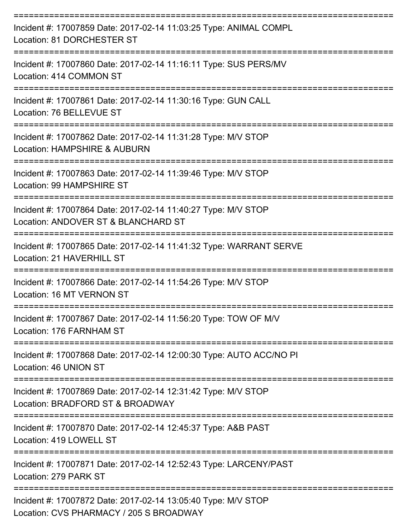| Incident #: 17007859 Date: 2017-02-14 11:03:25 Type: ANIMAL COMPL<br>Location: 81 DORCHESTER ST          |
|----------------------------------------------------------------------------------------------------------|
| Incident #: 17007860 Date: 2017-02-14 11:16:11 Type: SUS PERS/MV<br>Location: 414 COMMON ST              |
| Incident #: 17007861 Date: 2017-02-14 11:30:16 Type: GUN CALL<br>Location: 76 BELLEVUE ST                |
| Incident #: 17007862 Date: 2017-02-14 11:31:28 Type: M/V STOP<br>Location: HAMPSHIRE & AUBURN            |
| Incident #: 17007863 Date: 2017-02-14 11:39:46 Type: M/V STOP<br>Location: 99 HAMPSHIRE ST               |
| Incident #: 17007864 Date: 2017-02-14 11:40:27 Type: M/V STOP<br>Location: ANDOVER ST & BLANCHARD ST     |
| Incident #: 17007865 Date: 2017-02-14 11:41:32 Type: WARRANT SERVE<br>Location: 21 HAVERHILL ST          |
| Incident #: 17007866 Date: 2017-02-14 11:54:26 Type: M/V STOP<br>Location: 16 MT VERNON ST               |
| Incident #: 17007867 Date: 2017-02-14 11:56:20 Type: TOW OF M/V<br>Location: 176 FARNHAM ST              |
| Incident #: 17007868 Date: 2017-02-14 12:00:30 Type: AUTO ACC/NO PI<br>Location: 46 UNION ST             |
| Incident #: 17007869 Date: 2017-02-14 12:31:42 Type: M/V STOP<br>Location: BRADFORD ST & BROADWAY        |
| Incident #: 17007870 Date: 2017-02-14 12:45:37 Type: A&B PAST<br>Location: 419 LOWELL ST                 |
| Incident #: 17007871 Date: 2017-02-14 12:52:43 Type: LARCENY/PAST<br>Location: 279 PARK ST               |
| Incident #: 17007872 Date: 2017-02-14 13:05:40 Type: M/V STOP<br>Location: CVS PHARMACY / 205 S BROADWAY |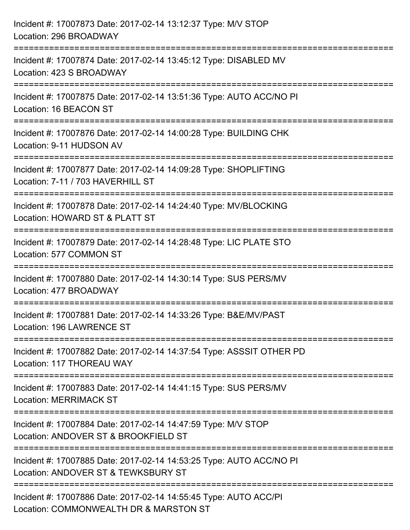| Incident #: 17007873 Date: 2017-02-14 13:12:37 Type: M/V STOP<br>Location: 296 BROADWAY                                                                         |
|-----------------------------------------------------------------------------------------------------------------------------------------------------------------|
| Incident #: 17007874 Date: 2017-02-14 13:45:12 Type: DISABLED MV<br>Location: 423 S BROADWAY                                                                    |
| Incident #: 17007875 Date: 2017-02-14 13:51:36 Type: AUTO ACC/NO PI<br>Location: 16 BEACON ST                                                                   |
| Incident #: 17007876 Date: 2017-02-14 14:00:28 Type: BUILDING CHK<br>Location: 9-11 HUDSON AV                                                                   |
| Incident #: 17007877 Date: 2017-02-14 14:09:28 Type: SHOPLIFTING<br>Location: 7-11 / 703 HAVERHILL ST                                                           |
| Incident #: 17007878 Date: 2017-02-14 14:24:40 Type: MV/BLOCKING<br>Location: HOWARD ST & PLATT ST                                                              |
| :=====================<br>Incident #: 17007879 Date: 2017-02-14 14:28:48 Type: LIC PLATE STO<br>Location: 577 COMMON ST                                         |
| Incident #: 17007880 Date: 2017-02-14 14:30:14 Type: SUS PERS/MV<br>Location: 477 BROADWAY                                                                      |
| Incident #: 17007881 Date: 2017-02-14 14:33:26 Type: B&E/MV/PAST<br>Location: 196 LAWRENCE ST                                                                   |
| Incident #: 17007882 Date: 2017-02-14 14:37:54 Type: ASSSIT OTHER PD<br>Location: 117 THOREAU WAY                                                               |
| Incident #: 17007883 Date: 2017-02-14 14:41:15 Type: SUS PERS/MV<br><b>Location: MERRIMACK ST</b>                                                               |
| -------------------------------<br>-------------------<br>Incident #: 17007884 Date: 2017-02-14 14:47:59 Type: M/V STOP<br>Location: ANDOVER ST & BROOKFIELD ST |
| Incident #: 17007885 Date: 2017-02-14 14:53:25 Type: AUTO ACC/NO PI<br>Location: ANDOVER ST & TEWKSBURY ST                                                      |
| Incident #: 17007886 Date: 2017-02-14 14:55:45 Type: AUTO ACC/PI<br>Location: COMMONWEALTH DR & MARSTON ST                                                      |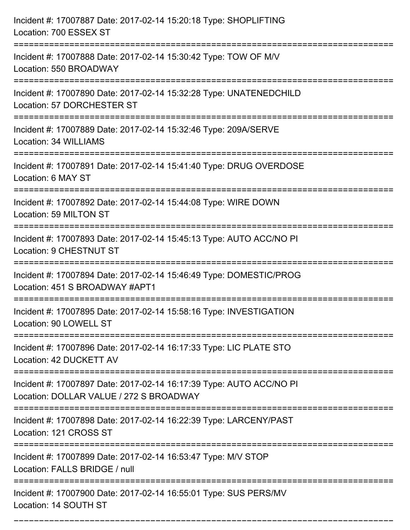| Incident #: 17007887 Date: 2017-02-14 15:20:18 Type: SHOPLIFTING<br>Location: 700 ESSEX ST                                          |
|-------------------------------------------------------------------------------------------------------------------------------------|
| Incident #: 17007888 Date: 2017-02-14 15:30:42 Type: TOW OF M/V<br>Location: 550 BROADWAY                                           |
| Incident #: 17007890 Date: 2017-02-14 15:32:28 Type: UNATENEDCHILD<br>Location: 57 DORCHESTER ST<br>:=============================  |
| Incident #: 17007889 Date: 2017-02-14 15:32:46 Type: 209A/SERVE<br>Location: 34 WILLIAMS                                            |
| Incident #: 17007891 Date: 2017-02-14 15:41:40 Type: DRUG OVERDOSE<br>Location: 6 MAY ST                                            |
| Incident #: 17007892 Date: 2017-02-14 15:44:08 Type: WIRE DOWN<br>Location: 59 MILTON ST                                            |
| Incident #: 17007893 Date: 2017-02-14 15:45:13 Type: AUTO ACC/NO PI<br>Location: 9 CHESTNUT ST                                      |
| Incident #: 17007894 Date: 2017-02-14 15:46:49 Type: DOMESTIC/PROG<br>Location: 451 S BROADWAY #APT1                                |
| Incident #: 17007895 Date: 2017-02-14 15:58:16 Type: INVESTIGATION<br>Location: 90 LOWELL ST                                        |
| Incident #: 17007896 Date: 2017-02-14 16:17:33 Type: LIC PLATE STO<br>Location: 42 DUCKETT AV<br>---------------------------------- |
| Incident #: 17007897 Date: 2017-02-14 16:17:39 Type: AUTO ACC/NO PI<br>Location: DOLLAR VALUE / 272 S BROADWAY                      |
| Incident #: 17007898 Date: 2017-02-14 16:22:39 Type: LARCENY/PAST<br>Location: 121 CROSS ST                                         |
| Incident #: 17007899 Date: 2017-02-14 16:53:47 Type: M/V STOP<br>Location: FALLS BRIDGE / null                                      |
| Incident #: 17007900 Date: 2017-02-14 16:55:01 Type: SUS PERS/MV<br>Location: 14 SOUTH ST                                           |

===========================================================================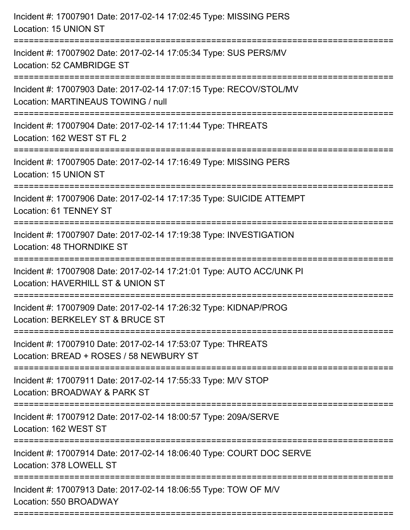| Incident #: 17007901 Date: 2017-02-14 17:02:45 Type: MISSING PERS<br>Location: 15 UNION ST                                           |
|--------------------------------------------------------------------------------------------------------------------------------------|
| :==================================<br>Incident #: 17007902 Date: 2017-02-14 17:05:34 Type: SUS PERS/MV<br>Location: 52 CAMBRIDGE ST |
| Incident #: 17007903 Date: 2017-02-14 17:07:15 Type: RECOV/STOL/MV<br>Location: MARTINEAUS TOWING / null                             |
| Incident #: 17007904 Date: 2017-02-14 17:11:44 Type: THREATS<br>Location: 162 WEST ST FL 2                                           |
| Incident #: 17007905 Date: 2017-02-14 17:16:49 Type: MISSING PERS<br>Location: 15 UNION ST                                           |
| Incident #: 17007906 Date: 2017-02-14 17:17:35 Type: SUICIDE ATTEMPT<br><b>Location: 61 TENNEY ST</b>                                |
| Incident #: 17007907 Date: 2017-02-14 17:19:38 Type: INVESTIGATION<br>Location: 48 THORNDIKE ST                                      |
| Incident #: 17007908 Date: 2017-02-14 17:21:01 Type: AUTO ACC/UNK PI<br>Location: HAVERHILL ST & UNION ST                            |
| Incident #: 17007909 Date: 2017-02-14 17:26:32 Type: KIDNAP/PROG<br>Location: BERKELEY ST & BRUCE ST                                 |
| Incident #: 17007910 Date: 2017-02-14 17:53:07 Type: THREATS<br>Location: BREAD + ROSES / 58 NEWBURY ST                              |
| Incident #: 17007911 Date: 2017-02-14 17:55:33 Type: M/V STOP<br>Location: BROADWAY & PARK ST                                        |
| Incident #: 17007912 Date: 2017-02-14 18:00:57 Type: 209A/SERVE<br>Location: 162 WEST ST                                             |
| Incident #: 17007914 Date: 2017-02-14 18:06:40 Type: COURT DOC SERVE<br>Location: 378 LOWELL ST                                      |
| Incident #: 17007913 Date: 2017-02-14 18:06:55 Type: TOW OF M/V<br>Location: 550 BROADWAY                                            |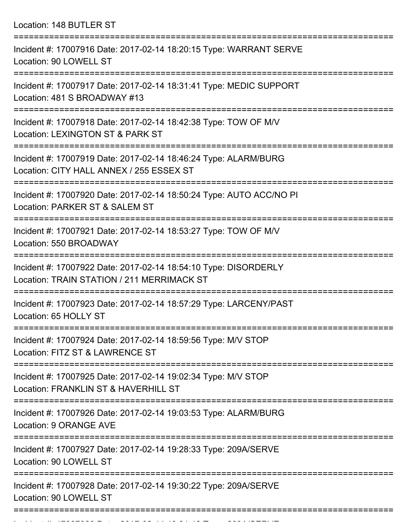Location: 148 BUTLER ST

| Incident #: 17007916 Date: 2017-02-14 18:20:15 Type: WARRANT SERVE<br>Location: 90 LOWELL ST                  |
|---------------------------------------------------------------------------------------------------------------|
| Incident #: 17007917 Date: 2017-02-14 18:31:41 Type: MEDIC SUPPORT<br>Location: 481 S BROADWAY #13            |
| Incident #: 17007918 Date: 2017-02-14 18:42:38 Type: TOW OF M/V<br>Location: LEXINGTON ST & PARK ST           |
| Incident #: 17007919 Date: 2017-02-14 18:46:24 Type: ALARM/BURG<br>Location: CITY HALL ANNEX / 255 ESSEX ST   |
| Incident #: 17007920 Date: 2017-02-14 18:50:24 Type: AUTO ACC/NO PI<br>Location: PARKER ST & SALEM ST         |
| Incident #: 17007921 Date: 2017-02-14 18:53:27 Type: TOW OF M/V<br>Location: 550 BROADWAY                     |
| Incident #: 17007922 Date: 2017-02-14 18:54:10 Type: DISORDERLY<br>Location: TRAIN STATION / 211 MERRIMACK ST |
| Incident #: 17007923 Date: 2017-02-14 18:57:29 Type: LARCENY/PAST<br>Location: 65 HOLLY ST                    |
| Incident #: 17007924 Date: 2017-02-14 18:59:56 Type: M/V STOP<br>Location: FITZ ST & LAWRENCE ST              |
| Incident #: 17007925 Date: 2017-02-14 19:02:34 Type: M/V STOP<br>Location: FRANKLIN ST & HAVERHILL ST         |
| Incident #: 17007926 Date: 2017-02-14 19:03:53 Type: ALARM/BURG<br>Location: 9 ORANGE AVE                     |
| Incident #: 17007927 Date: 2017-02-14 19:28:33 Type: 209A/SERVE<br>Location: 90 LOWELL ST                     |
| Incident #: 17007928 Date: 2017-02-14 19:30:22 Type: 209A/SERVE<br>Location: 90 LOWELL ST                     |
|                                                                                                               |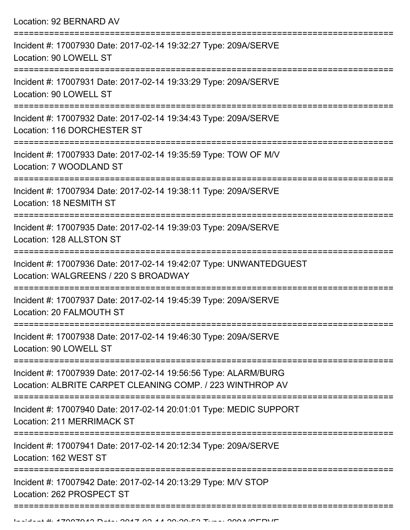| Location: 92 BERNARD AV                                                                                                        |
|--------------------------------------------------------------------------------------------------------------------------------|
| Incident #: 17007930 Date: 2017-02-14 19:32:27 Type: 209A/SERVE<br>Location: 90 LOWELL ST<br>:================================ |
| Incident #: 17007931 Date: 2017-02-14 19:33:29 Type: 209A/SERVE<br>Location: 90 LOWELL ST                                      |
| Incident #: 17007932 Date: 2017-02-14 19:34:43 Type: 209A/SERVE<br>Location: 116 DORCHESTER ST<br>=========================    |
| Incident #: 17007933 Date: 2017-02-14 19:35:59 Type: TOW OF M/V<br>Location: 7 WOODLAND ST                                     |
| Incident #: 17007934 Date: 2017-02-14 19:38:11 Type: 209A/SERVE<br>Location: 18 NESMITH ST                                     |
| Incident #: 17007935 Date: 2017-02-14 19:39:03 Type: 209A/SERVE<br>Location: 128 ALLSTON ST                                    |
| Incident #: 17007936 Date: 2017-02-14 19:42:07 Type: UNWANTEDGUEST<br>Location: WALGREENS / 220 S BROADWAY                     |
| Incident #: 17007937 Date: 2017-02-14 19:45:39 Type: 209A/SERVE<br>Location: 20 FALMOUTH ST                                    |
| Incident #: 17007938 Date: 2017-02-14 19:46:30 Type: 209A/SERVE<br>Location: 90 LOWELL ST                                      |
| Incident #: 17007939 Date: 2017-02-14 19:56:56 Type: ALARM/BURG<br>Location: ALBRITE CARPET CLEANING COMP. / 223 WINTHROP AV   |
| Incident #: 17007940 Date: 2017-02-14 20:01:01 Type: MEDIC SUPPORT<br>Location: 211 MERRIMACK ST                               |
| Incident #: 17007941 Date: 2017-02-14 20:12:34 Type: 209A/SERVE<br>Location: 162 WEST ST                                       |
| Incident #: 17007942 Date: 2017-02-14 20:13:29 Type: M/V STOP<br>Location: 262 PROSPECT ST                                     |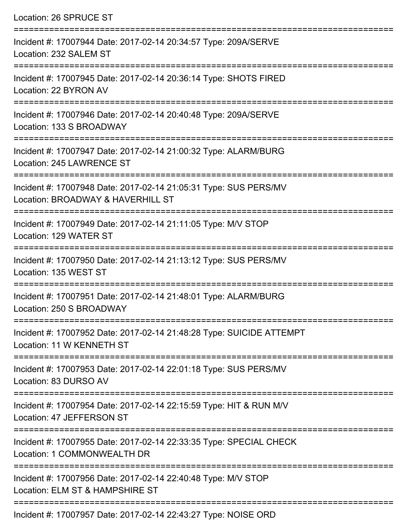| Location: 26 SPRUCE ST                                                                                                             |
|------------------------------------------------------------------------------------------------------------------------------------|
| Incident #: 17007944 Date: 2017-02-14 20:34:57 Type: 209A/SERVE<br>Location: 232 SALEM ST                                          |
| Incident #: 17007945 Date: 2017-02-14 20:36:14 Type: SHOTS FIRED<br>Location: 22 BYRON AV                                          |
| Incident #: 17007946 Date: 2017-02-14 20:40:48 Type: 209A/SERVE<br>Location: 133 S BROADWAY                                        |
| Incident #: 17007947 Date: 2017-02-14 21:00:32 Type: ALARM/BURG<br>Location: 245 LAWRENCE ST                                       |
| Incident #: 17007948 Date: 2017-02-14 21:05:31 Type: SUS PERS/MV<br>Location: BROADWAY & HAVERHILL ST<br>========================= |
| Incident #: 17007949 Date: 2017-02-14 21:11:05 Type: M/V STOP<br>Location: 129 WATER ST                                            |
| Incident #: 17007950 Date: 2017-02-14 21:13:12 Type: SUS PERS/MV<br>Location: 135 WEST ST                                          |
| Incident #: 17007951 Date: 2017-02-14 21:48:01 Type: ALARM/BURG<br>Location: 250 S BROADWAY                                        |
| Incident #: 17007952 Date: 2017-02-14 21:48:28 Type: SUICIDE ATTEMPT<br>Location: 11 W KENNETH ST                                  |
| Incident #: 17007953 Date: 2017-02-14 22:01:18 Type: SUS PERS/MV<br>Location: 83 DURSO AV                                          |
| Incident #: 17007954 Date: 2017-02-14 22:15:59 Type: HIT & RUN M/V<br>Location: 47 JEFFERSON ST                                    |
| Incident #: 17007955 Date: 2017-02-14 22:33:35 Type: SPECIAL CHECK<br>Location: 1 COMMONWEALTH DR                                  |
| Incident #: 17007956 Date: 2017-02-14 22:40:48 Type: M/V STOP<br>Location: ELM ST & HAMPSHIRE ST                                   |
|                                                                                                                                    |

Incident #: 17007957 Date: 2017-02-14 22:43:27 Type: NOISE ORD